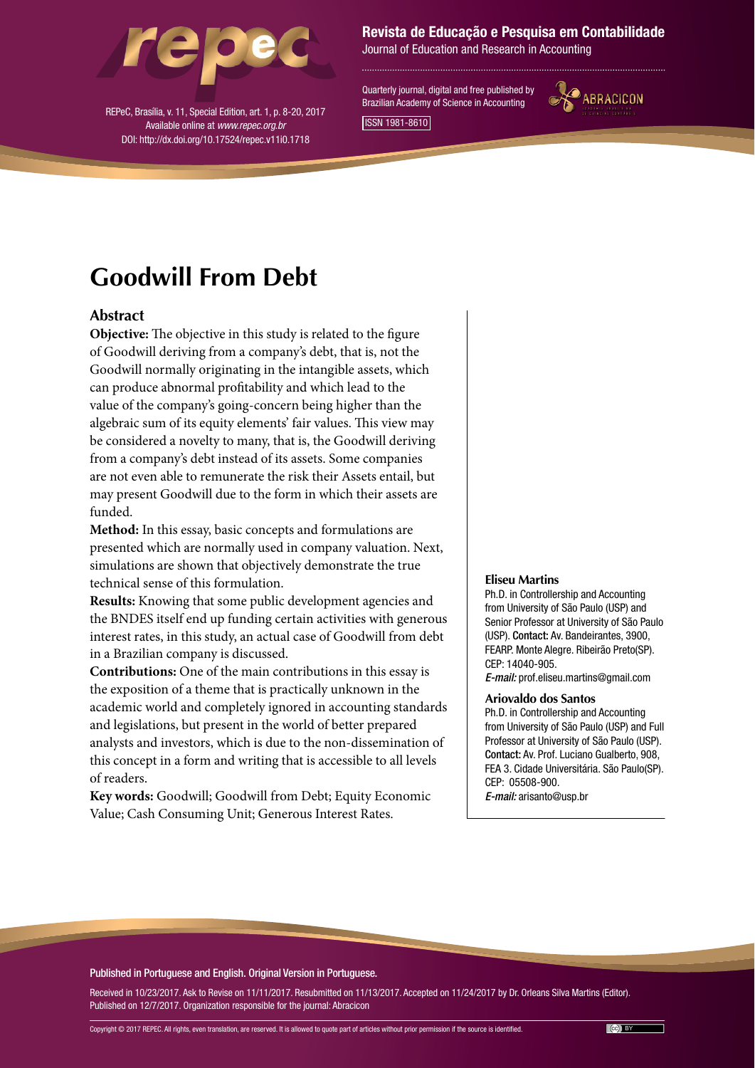

REPeC, Brasília, v. 11, Special Edition, art. 1, p. 8-20, 2017 Available online at *www.repec.org.br* DOI: http://dx.doi.org/10.17524/repec.v11i0.1718

#### Revista de Educação e Pesquisa em Contabilidade

Journal of Education and Research in Accounting

Quarterly journal, digital and free published by Brazilian Academy of Science in Accounting



ISSN 1981-8610

# **Goodwill From Debt**

#### **Abstract**

**Objective:** The objective in this study is related to the figure of Goodwill deriving from a company's debt, that is, not the Goodwill normally originating in the intangible assets, which can produce abnormal profitability and which lead to the value of the company's going-concern being higher than the algebraic sum of its equity elements' fair values. This view may be considered a novelty to many, that is, the Goodwill deriving from a company's debt instead of its assets. Some companies are not even able to remunerate the risk their Assets entail, but may present Goodwill due to the form in which their assets are funded.

**Method:** In this essay, basic concepts and formulations are presented which are normally used in company valuation. Next, simulations are shown that objectively demonstrate the true technical sense of this formulation.

**Results:** Knowing that some public development agencies and the BNDES itself end up funding certain activities with generous interest rates, in this study, an actual case of Goodwill from debt in a Brazilian company is discussed.

**Contributions:** One of the main contributions in this essay is the exposition of a theme that is practically unknown in the academic world and completely ignored in accounting standards and legislations, but present in the world of better prepared analysts and investors, which is due to the non-dissemination of this concept in a form and writing that is accessible to all levels of readers.

**Key words:** Goodwill; Goodwill from Debt; Equity Economic Value; Cash Consuming Unit; Generous Interest Rates.

#### **Eliseu Martins**

Ph.D. in Controllership and Accounting from University of São Paulo (USP) and Senior Professor at University of São Paulo (USP). Contact: Av. Bandeirantes, 3900, FEARP. Monte Alegre. Ribeirão Preto(SP). CEP: 14040-905. *E-mail:* [prof.eliseu.martins@gmail.com](mailto:prof.eliseu.martins@gmail.com)

#### **Ariovaldo dos Santos**

Ph.D. in Controllership and Accounting from University of São Paulo (USP) and Full Professor at University of São Paulo (USP). Contact: Av. Prof. Luciano Gualberto, 908, FEA 3. Cidade Universitária. São Paulo(SP). CEP: 05508-900. *E-mail:* [arisanto@usp.br](mailto:arisanto@usp.br)

#### Published in Portuguese and English. Original Version in Portuguese.

Received in 10/23/2017. Ask to Revise on 11/11/2017. Resubmitted on 11/13/2017. Accepted on 11/24/2017 by Dr. Orleans Silva Martins (Editor). Published on 12/7/2017. Organization responsible for the journal: Abracicon

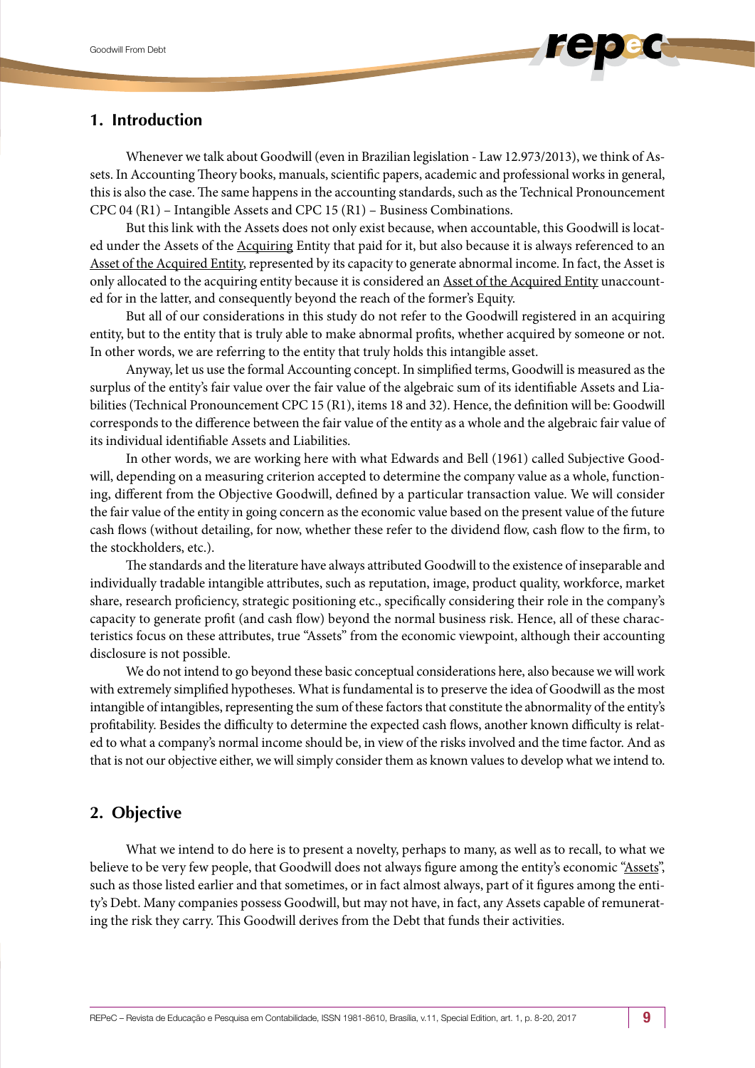# **1. Introduction**

Whenever we talk about Goodwill (even in Brazilian legislation - Law 12.973/2013), we think of Assets. In Accounting Theory books, manuals, scientific papers, academic and professional works in general, this is also the case. The same happens in the accounting standards, such as the Technical Pronouncement CPC 04 (R1) – Intangible Assets and CPC 15 (R1) – Business Combinations.

But this link with the Assets does not only exist because, when accountable, this Goodwill is located under the Assets of the Acquiring Entity that paid for it, but also because it is always referenced to an Asset of the Acquired Entity, represented by its capacity to generate abnormal income. In fact, the Asset is only allocated to the acquiring entity because it is considered an Asset of the Acquired Entity unaccounted for in the latter, and consequently beyond the reach of the former's Equity.

But all of our considerations in this study do not refer to the Goodwill registered in an acquiring entity, but to the entity that is truly able to make abnormal profits, whether acquired by someone or not. In other words, we are referring to the entity that truly holds this intangible asset.

Anyway, let us use the formal Accounting concept. In simplified terms, Goodwill is measured as the surplus of the entity's fair value over the fair value of the algebraic sum of its identifiable Assets and Liabilities (Technical Pronouncement CPC 15 (R1), items 18 and 32). Hence, the definition will be: Goodwill corresponds to the difference between the fair value of the entity as a whole and the algebraic fair value of its individual identifiable Assets and Liabilities.

In other words, we are working here with what Edwards and Bell (1961) called Subjective Goodwill, depending on a measuring criterion accepted to determine the company value as a whole, functioning, different from the Objective Goodwill, defined by a particular transaction value. We will consider the fair value of the entity in going concern as the economic value based on the present value of the future cash flows (without detailing, for now, whether these refer to the dividend flow, cash flow to the firm, to the stockholders, etc.).

The standards and the literature have always attributed Goodwill to the existence of inseparable and individually tradable intangible attributes, such as reputation, image, product quality, workforce, market share, research proficiency, strategic positioning etc., specifically considering their role in the company's capacity to generate profit (and cash flow) beyond the normal business risk. Hence, all of these characteristics focus on these attributes, true "Assets" from the economic viewpoint, although their accounting disclosure is not possible.

We do not intend to go beyond these basic conceptual considerations here, also because we will work with extremely simplified hypotheses. What is fundamental is to preserve the idea of Goodwill as the most intangible of intangibles, representing the sum of these factors that constitute the abnormality of the entity's profitability. Besides the difficulty to determine the expected cash flows, another known difficulty is related to what a company's normal income should be, in view of the risks involved and the time factor. And as that is not our objective either, we will simply consider them as known values to develop what we intend to.

### **2. Objective**

What we intend to do here is to present a novelty, perhaps to many, as well as to recall, to what we believe to be very few people, that Goodwill does not always figure among the entity's economic "Assets", such as those listed earlier and that sometimes, or in fact almost always, part of it figures among the entity's Debt. Many companies possess Goodwill, but may not have, in fact, any Assets capable of remunerating the risk they carry. This Goodwill derives from the Debt that funds their activities.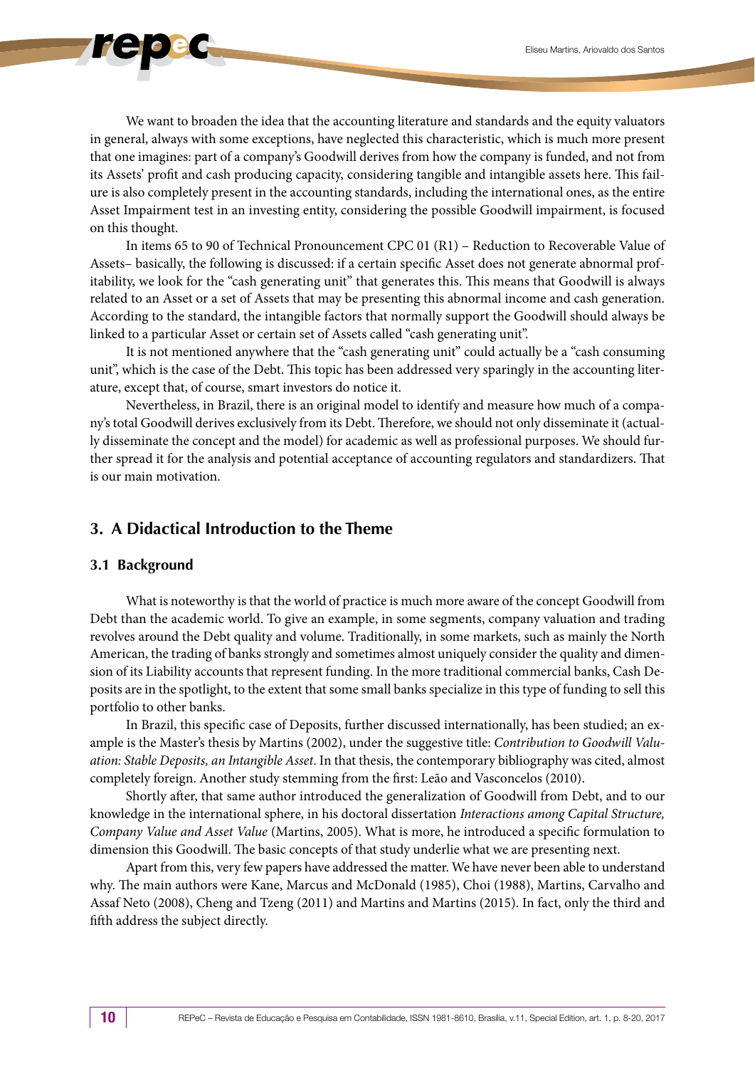

In items 65 to 90 of Technical Pronouncement CPC 01 (R1) – Reduction to Recoverable Value of Assets– basically, the following is discussed: if a certain specific Asset does not generate abnormal profitability, we look for the "cash generating unit" that generates this. This means that Goodwill is always related to an Asset or a set of Assets that may be presenting this abnormal income and cash generation. According to the standard, the intangible factors that normally support the Goodwill should always be linked to a particular Asset or certain set of Assets called "cash generating unit".

It is not mentioned anywhere that the "cash generating unit" could actually be a "cash consuming unit", which is the case of the Debt. This topic has been addressed very sparingly in the accounting literature, except that, of course, smart investors do notice it.

Nevertheless, in Brazil, there is an original model to identify and measure how much of a company's total Goodwill derives exclusively from its Debt. Therefore, we should not only disseminate it (actually disseminate the concept and the model) for academic as well as professional purposes. We should further spread it for the analysis and potential acceptance of accounting regulators and standardizers. That is our main motivation.

# **3. A Didactical Introduction to the Theme**

#### **3.1 Background**

What is noteworthy is that the world of practice is much more aware of the concept Goodwill from Debt than the academic world. To give an example, in some segments, company valuation and trading revolves around the Debt quality and volume. Traditionally, in some markets, such as mainly the North American, the trading of banks strongly and sometimes almost uniquely consider the quality and dimension of its Liability accounts that represent funding. In the more traditional commercial banks, Cash Deposits are in the spotlight, to the extent that some small banks specialize in this type of funding to sell this portfolio to other banks.

In Brazil, this specific case of Deposits, further discussed internationally, has been studied; an example is the Master's thesis by Martins (2002), under the suggestive title: *Contribution to Goodwill Valuation: Stable Deposits, an Intangible Asset*. In that thesis, the contemporary bibliography was cited, almost completely foreign. Another study stemming from the first: Leão and Vasconcelos (2010).

Shortly after, that same author introduced the generalization of Goodwill from Debt, and to our knowledge in the international sphere, in his doctoral dissertation *Interactions among Capital Structure, Company Value and Asset Value* (Martins, 2005). What is more, he introduced a specific formulation to dimension this Goodwill. The basic concepts of that study underlie what we are presenting next.

Apart from this, very few papers have addressed the matter. We have never been able to understand why. The main authors were Kane, Marcus and McDonald (1985), Choi (1988), Martins, Carvalho and Assaf Neto (2008), Cheng and Tzeng (2011) and Martins and Martins (2015). In fact, only the third and fifth address the subject directly.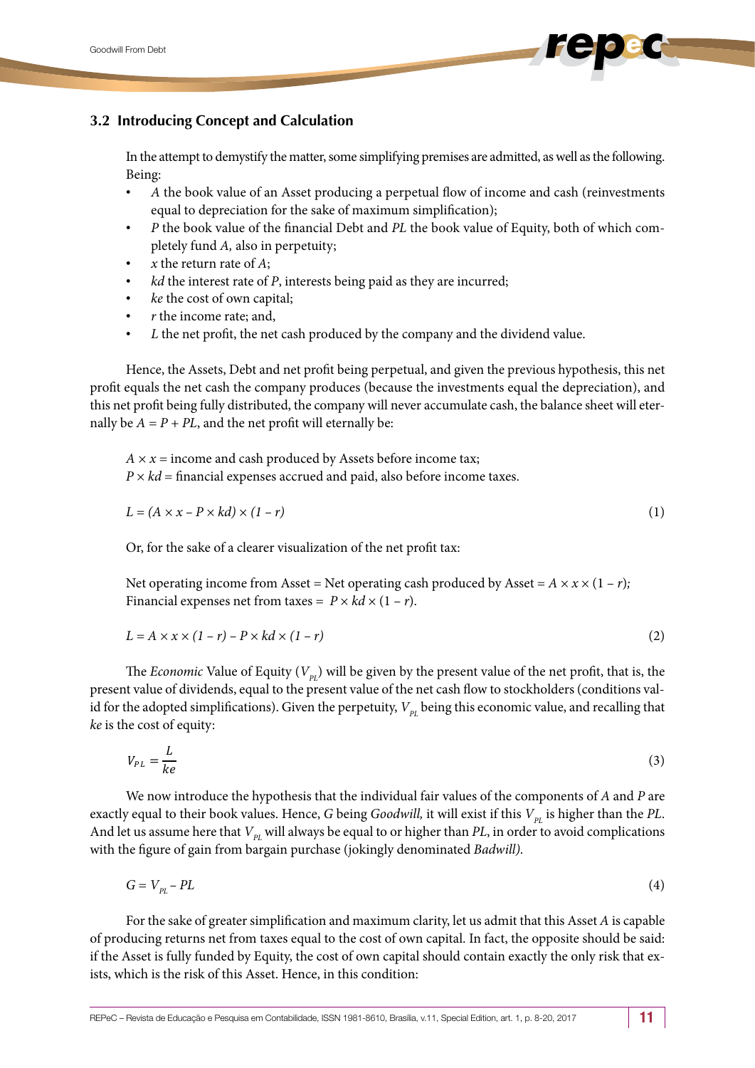## **3.2 Introducing Concept and Calculation**

In the attempt to demystify the matter, some simplifying premises are admitted, as well as the following. Being:

- *A* the book value of an Asset producing a perpetual flow of income and cash (reinvestments equal to depreciation for the sake of maximum simplification);
- *P* the book value of the financial Debt and *PL* the book value of Equity, both of which completely fund *A,* also in perpetuity;
- *x* the return rate of *A*;
- *kd* the interest rate of *P*, interests being paid as they are incurred;
- *ke* the cost of own capital;
- *r* the income rate; and,
- *L* the net profit, the net cash produced by the company and the dividend value.

Hence, the Assets, Debt and net profit being perpetual, and given the previous hypothesis, this net profit equals the net cash the company produces (because the investments equal the depreciation), and this net profit being fully distributed, the company will never accumulate cash, the balance sheet will eternally be  $A = P + PL$ , and the net profit will eternally be:

 $A \times x$  = income and cash produced by Assets before income tax;  $P \times kd = \text{financial expenses}$  accrued and paid, also before income taxes.

$$
L = (A \times x - P \times kd) \times (1 - r) \tag{1}
$$

Or, for the sake of a clearer visualization of the net profit tax:

Net operating income from Asset = Net operating cash produced by Asset =  $A \times x \times (1 - r)$ ; Financial expenses net from taxes =  $P \times kd \times (1 - r)$ .

$$
L = A \times x \times (1 - r) - P \times kd \times (1 - r)
$$
\n<sup>(2)</sup>

The *Economic* Value of Equity ( $V_{pr}$ ) will be given by the present value of the net profit, that is, the present value of dividends, equal to the present value of the net cash flow to stockholders (conditions valid for the adopted simplifications). Given the perpetuity,  $V_{PL}$  being this economic value, and recalling that *ke* is the cost of equity:

$$
V_{PL} = \frac{L}{ke} \tag{3}
$$

We now introduce the hypothesis that the individual fair values of the components of *A* and *P* are exactly equal to their book values. Hence, *G* being *Goodwill*, it will exist if this  $V_{pr}$  is higher than the PL. And let us assume here that  $V_{PL}$  will always be equal to or higher than *PL*, in order to avoid complications with the figure of gain from bargain purchase (jokingly denominated *Badwill)*.

$$
G = V_{PL} - PL \tag{4}
$$

For the sake of greater simplification and maximum clarity, let us admit that this Asset *A* is capable of producing returns net from taxes equal to the cost of own capital. In fact, the opposite should be said: if the Asset is fully funded by Equity, the cost of own capital should contain exactly the only risk that exists, which is the risk of this Asset. Hence, in this condition: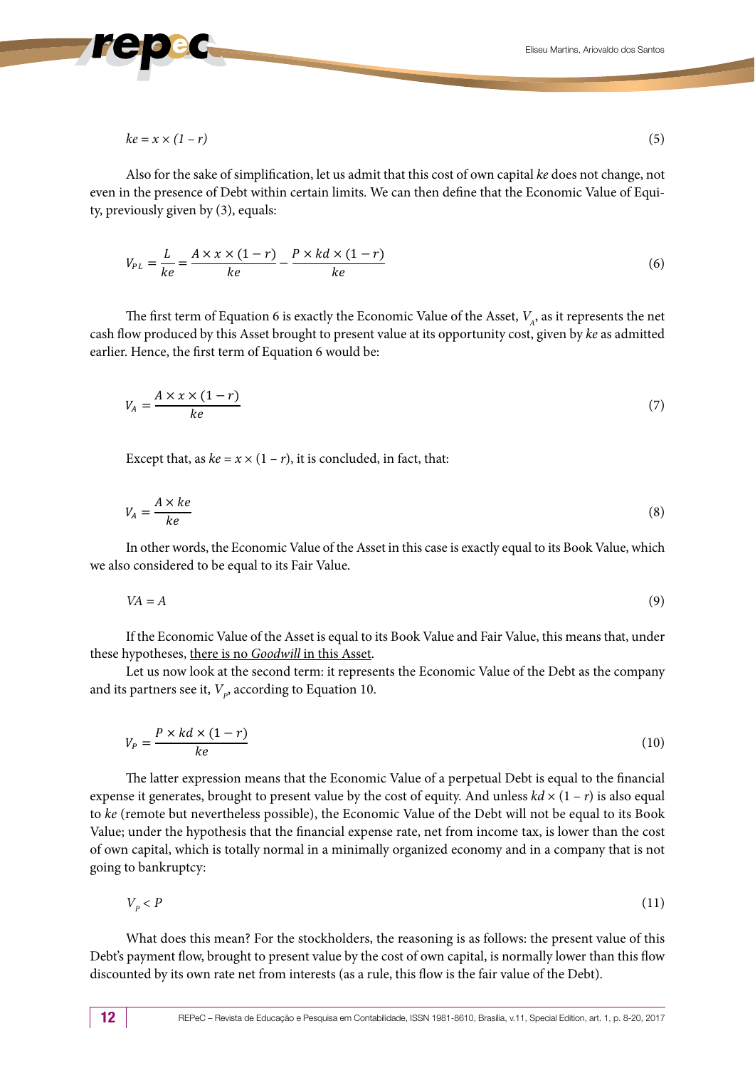$$
ke = x \times (1 - r) \tag{5}
$$

Also for the sake of simplification, let us admit that this cost of own capital *ke* does not change, not even in the presence of Debt within certain limits. We can then define that the Economic Value of Equity, previously given by (3), equals:

$$
V_{PL} = \frac{L}{ke} = \frac{A \times x \times (1 - r)}{ke} - \frac{P \times kd \times (1 - r)}{ke}
$$
(6)

The first term of Equation 6 is exactly the Economic Value of the Asset,  $V_{A}$ , as it represents the net cash flow produced by this Asset brought to present value at its opportunity cost, given by *ke* as admitted earlier. Hence, the first term of Equation 6 would be:

$$
V_A = \frac{A \times x \times (1 - r)}{ke} \tag{7}
$$

Except that, as  $ke = x \times (1 - r)$ , it is concluded, in fact, that:

$$
V_A = \frac{A \times ke}{ke} \tag{8}
$$

In other words, the Economic Value of the Asset in this case is exactly equal to its Book Value, which we also considered to be equal to its Fair Value.

$$
VA = A \tag{9}
$$

If the Economic Value of the Asset is equal to its Book Value and Fair Value, this means that, under these hypotheses, there is no *Goodwill* in this Asset.

Let us now look at the second term: it represents the Economic Value of the Debt as the company and its partners see it,  $V_p$ , according to Equation 10.

$$
V_P = \frac{P \times kd \times (1 - r)}{ke} \tag{10}
$$

The latter expression means that the Economic Value of a perpetual Debt is equal to the financial expense it generates, brought to present value by the cost of equity. And unless  $k \frac{d}{dx}$   $(1 - r)$  is also equal to *ke* (remote but nevertheless possible), the Economic Value of the Debt will not be equal to its Book Value; under the hypothesis that the financial expense rate, net from income tax, is lower than the cost of own capital, which is totally normal in a minimally organized economy and in a company that is not going to bankruptcy:

$$
V_p < P \tag{11}
$$

What does this mean? For the stockholders, the reasoning is as follows: the present value of this Debt's payment flow, brought to present value by the cost of own capital, is normally lower than this flow discounted by its own rate net from interests (as a rule, this flow is the fair value of the Debt).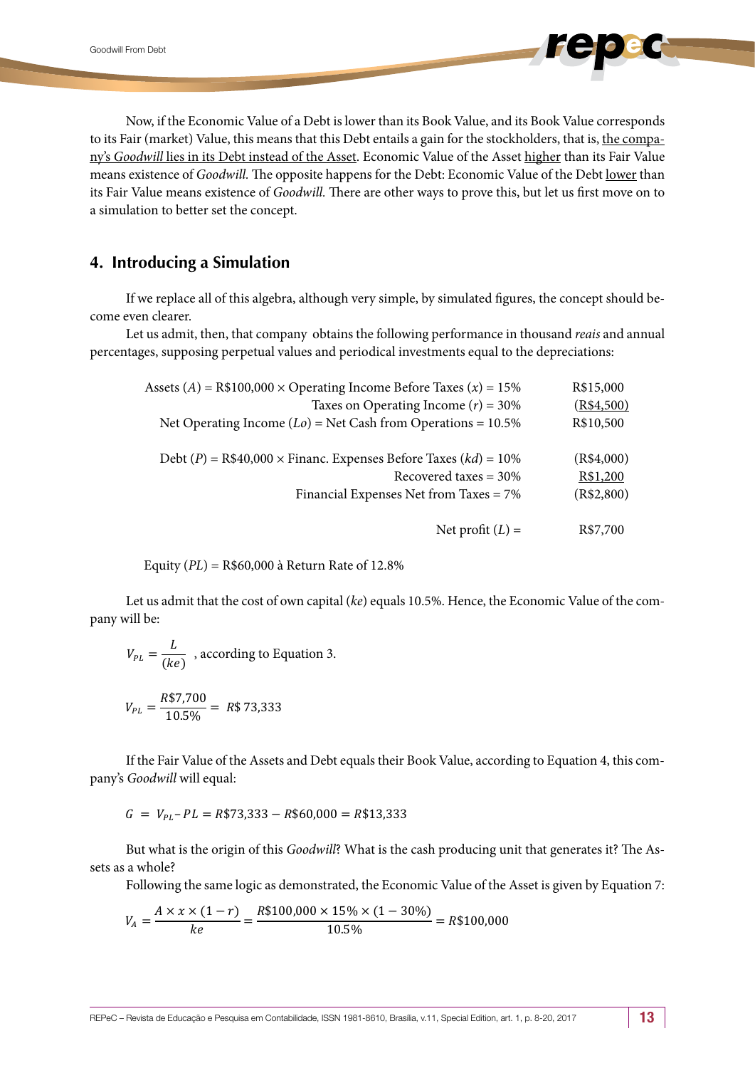Now, if the Economic Value of a Debt is lower than its Book Value, and its Book Value corresponds to its Fair (market) Value, this means that this Debt entails a gain for the stockholders, that is, the company's *Goodwill* lies in its Debt instead of the Asset. Economic Value of the Asset higher than its Fair Value means existence of *Goodwill.* The opposite happens for the Debt: Economic Value of the Debt lower than its Fair Value means existence of *Goodwill.* There are other ways to prove this, but let us first move on to a simulation to better set the concept.

### **4. Introducing a Simulation**

If we replace all of this algebra, although very simple, by simulated figures, the concept should become even clearer.

Let us admit, then, that company obtains the following performance in thousand *reais* and annual percentages, supposing perpetual values and periodical investments equal to the depreciations:

| R\$15,000  | Assets (A) = R\$100,000 $\times$ Operating Income Before Taxes (x) = 15% |
|------------|--------------------------------------------------------------------------|
| (R\$4,500) | Taxes on Operating Income $(r) = 30\%$                                   |
| R\$10,500  | Net Operating Income $(Lo)$ = Net Cash from Operations = 10.5%           |
| (R\$4,000) | Debt (P) = R\$40,000 $\times$ Financ. Expenses Before Taxes (kd) = 10%   |
| R\$1,200   | Recovered taxes = $30\%$                                                 |
| (R\$2,800) | Financial Expenses Net from Taxes = 7%                                   |
| R\$7,700   | Net profit $(L)$ =                                                       |

Equity (*PL*) = R\$60,000 à Return Rate of 12.8%

Let us admit that the cost of own capital (*ke*) equals 10.5%. Hence, the Economic Value of the company will be:

$$
V_{PL} = \frac{L}{(ke)}
$$
, according to Equation 3.

$$
V_{PL} = \frac{R\$7,700}{10.5\%} = R\$73,333
$$

If the Fair Value of the Assets and Debt equals their Book Value, according to Equation 4, this company's *Goodwill* will equal:

$$
G = V_{PL} - PL = R\$73,333 - R\$60,000 = R\$13,333
$$

But what is the origin of this *Goodwill*? What is the cash producing unit that generates it? The Assets as a whole?

Following the same logic as demonstrated, the Economic Value of the Asset is given by Equation 7:

$$
V_A = \frac{A \times x \times (1 - r)}{ke} = \frac{R\$100,000 \times 15\% \times (1 - 30\%)}{10.5\%} = R\$100,000
$$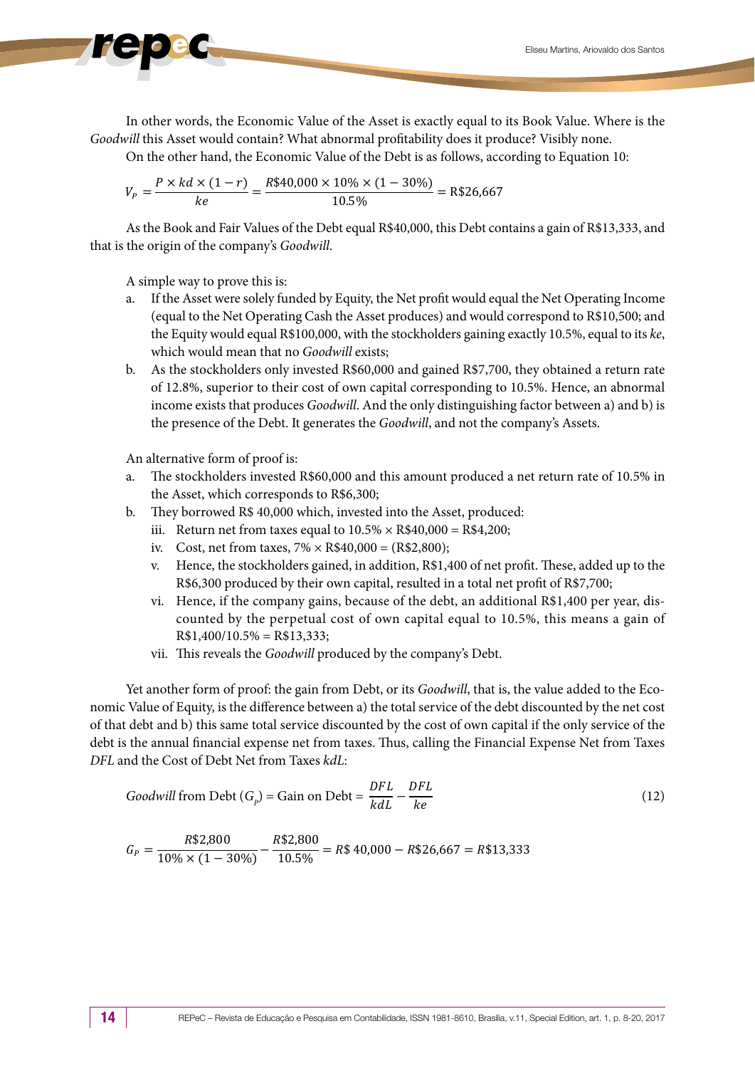In other words, the Economic Value of the Asset is exactly equal to its Book Value. Where is the *Goodwill* this Asset would contain? What abnormal profitability does it produce? Visibly none.

On the other hand, the Economic Value of the Debt is as follows, according to Equation 10:

$$
V_P = \frac{P \times kd \times (1 - r)}{ke} = \frac{R\$40,000 \times 10\% \times (1 - 30\%)}{10.5\%} = R\$26,667
$$

As the Book and Fair Values of the Debt equal R\$40,000, this Debt contains a gain of R\$13,333, and that is the origin of the company's *Goodwill*.

A simple way to prove this is:

- a. If the Asset were solely funded by Equity, the Net profit would equal the Net Operating Income (equal to the Net Operating Cash the Asset produces) and would correspond to R\$10,500; and the Equity would equal R\$100,000, with the stockholders gaining exactly 10.5%, equal to its *ke*, which would mean that no *Goodwill* exists;
- b. As the stockholders only invested R\$60,000 and gained R\$7,700, they obtained a return rate of 12.8%, superior to their cost of own capital corresponding to 10.5%. Hence, an abnormal income exists that produces *Goodwill*. And the only distinguishing factor between a) and b) is the presence of the Debt. It generates the *Goodwill*, and not the company's Assets.

An alternative form of proof is:

- a. The stockholders invested R\$60,000 and this amount produced a net return rate of 10.5% in the Asset, which corresponds to R\$6,300;
- b. They borrowed R\$ 40,000 which, invested into the Asset, produced:
	- iii. Return net from taxes equal to  $10.5\% \times R$40,000 = R$4,200;$
	- iv. Cost, net from taxes,  $7\% \times R$40,000 = (R$2,800);$
	- v. Hence, the stockholders gained, in addition, R\$1,400 of net profit. These, added up to the R\$6,300 produced by their own capital, resulted in a total net profit of R\$7,700;
	- vi. Hence, if the company gains, because of the debt, an additional R\$1,400 per year, discounted by the perpetual cost of own capital equal to 10.5%, this means a gain of  $R$1,400/10.5\% = R$13,333;$
	- vii. This reveals the *Goodwill* produced by the company's Debt.

Yet another form of proof: the gain from Debt, or its *Goodwill*, that is, the value added to the Economic Value of Equity, is the difference between a) the total service of the debt discounted by the net cost of that debt and b) this same total service discounted by the cost of own capital if the only service of the debt is the annual financial expense net from taxes. Thus, calling the Financial Expense Net from Taxes *DFL* and the Cost of Debt Net from Taxes *kdL*:

Goodwill from Debt 
$$
(G_p)
$$
 = Gain on Debt =  $\frac{DFL}{k dL} - \frac{DFL}{ke}$  (12)

$$
G_P = \frac{R$2,800}{10\% \times (1 - 30\%)} - \frac{R$2,800}{10.5\%} = R$40,000 - R$26,667 = R$13,333
$$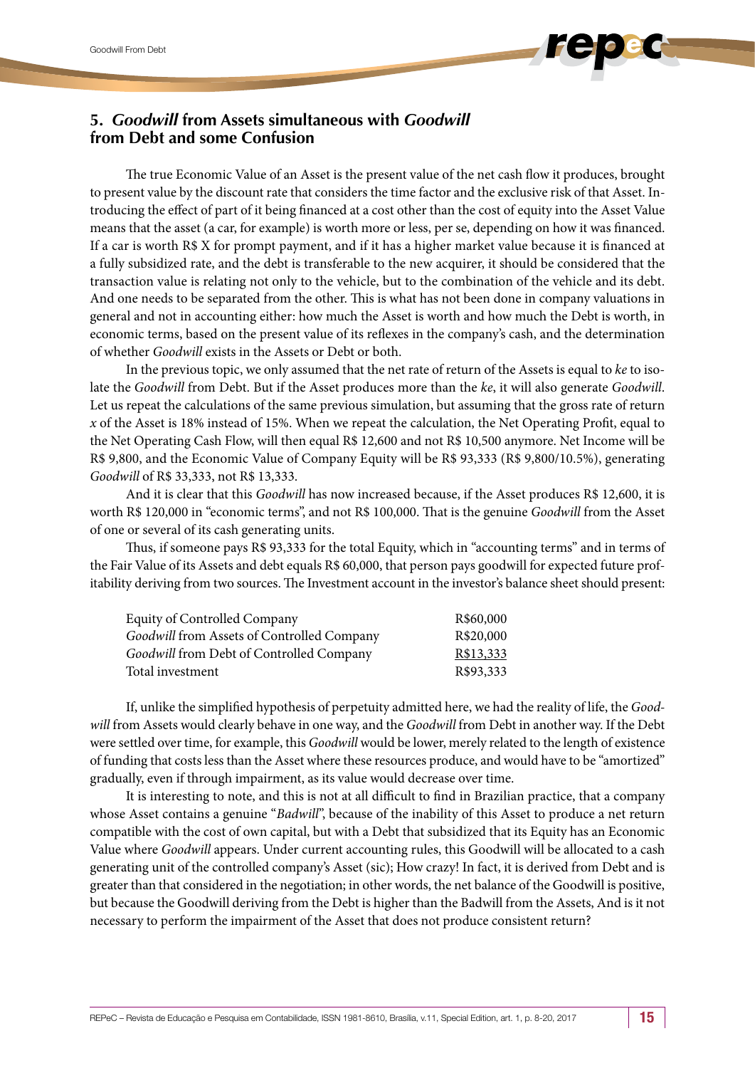# **5.** *Goodwill* **from Assets simultaneous with** *Goodwill*  **from Debt and some Confusion**

The true Economic Value of an Asset is the present value of the net cash flow it produces, brought to present value by the discount rate that considers the time factor and the exclusive risk of that Asset. Introducing the effect of part of it being financed at a cost other than the cost of equity into the Asset Value means that the asset (a car, for example) is worth more or less, per se, depending on how it was financed. If a car is worth R\$ X for prompt payment, and if it has a higher market value because it is financed at a fully subsidized rate, and the debt is transferable to the new acquirer, it should be considered that the transaction value is relating not only to the vehicle, but to the combination of the vehicle and its debt. And one needs to be separated from the other. This is what has not been done in company valuations in general and not in accounting either: how much the Asset is worth and how much the Debt is worth, in economic terms, based on the present value of its reflexes in the company's cash, and the determination of whether *Goodwill* exists in the Assets or Debt or both.

In the previous topic, we only assumed that the net rate of return of the Assets is equal to *ke* to isolate the *Goodwill* from Debt. But if the Asset produces more than the *ke*, it will also generate *Goodwill*. Let us repeat the calculations of the same previous simulation, but assuming that the gross rate of return *x* of the Asset is 18% instead of 15%. When we repeat the calculation, the Net Operating Profit, equal to the Net Operating Cash Flow, will then equal R\$ 12,600 and not R\$ 10,500 anymore. Net Income will be R\$ 9,800, and the Economic Value of Company Equity will be R\$ 93,333 (R\$ 9,800/10.5%), generating *Goodwill* of R\$ 33,333, not R\$ 13,333.

And it is clear that this *Goodwill* has now increased because, if the Asset produces R\$ 12,600, it is worth R\$ 120,000 in "economic terms", and not R\$ 100,000. That is the genuine *Goodwill* from the Asset of one or several of its cash generating units.

Thus, if someone pays R\$ 93,333 for the total Equity, which in "accounting terms" and in terms of the Fair Value of its Assets and debt equals R\$ 60,000, that person pays goodwill for expected future profitability deriving from two sources. The Investment account in the investor's balance sheet should present:

| <b>Equity of Controlled Company</b>        | R\$60,000 |
|--------------------------------------------|-----------|
| Goodwill from Assets of Controlled Company | R\$20,000 |
| Goodwill from Debt of Controlled Company   | R\$13,333 |
| Total investment                           | R\$93,333 |

If, unlike the simplified hypothesis of perpetuity admitted here, we had the reality of life, the *Goodwill* from Assets would clearly behave in one way, and the *Goodwill* from Debt in another way. If the Debt were settled over time, for example, this *Goodwill* would be lower, merely related to the length of existence of funding that costs less than the Asset where these resources produce, and would have to be "amortized" gradually, even if through impairment, as its value would decrease over time.

It is interesting to note, and this is not at all difficult to find in Brazilian practice, that a company whose Asset contains a genuine "*Badwill*", because of the inability of this Asset to produce a net return compatible with the cost of own capital, but with a Debt that subsidized that its Equity has an Economic Value where *Goodwill* appears. Under current accounting rules, this Goodwill will be allocated to a cash generating unit of the controlled company's Asset (sic); How crazy! In fact, it is derived from Debt and is greater than that considered in the negotiation; in other words, the net balance of the Goodwill is positive, but because the Goodwill deriving from the Debt is higher than the Badwill from the Assets, And is it not necessary to perform the impairment of the Asset that does not produce consistent return?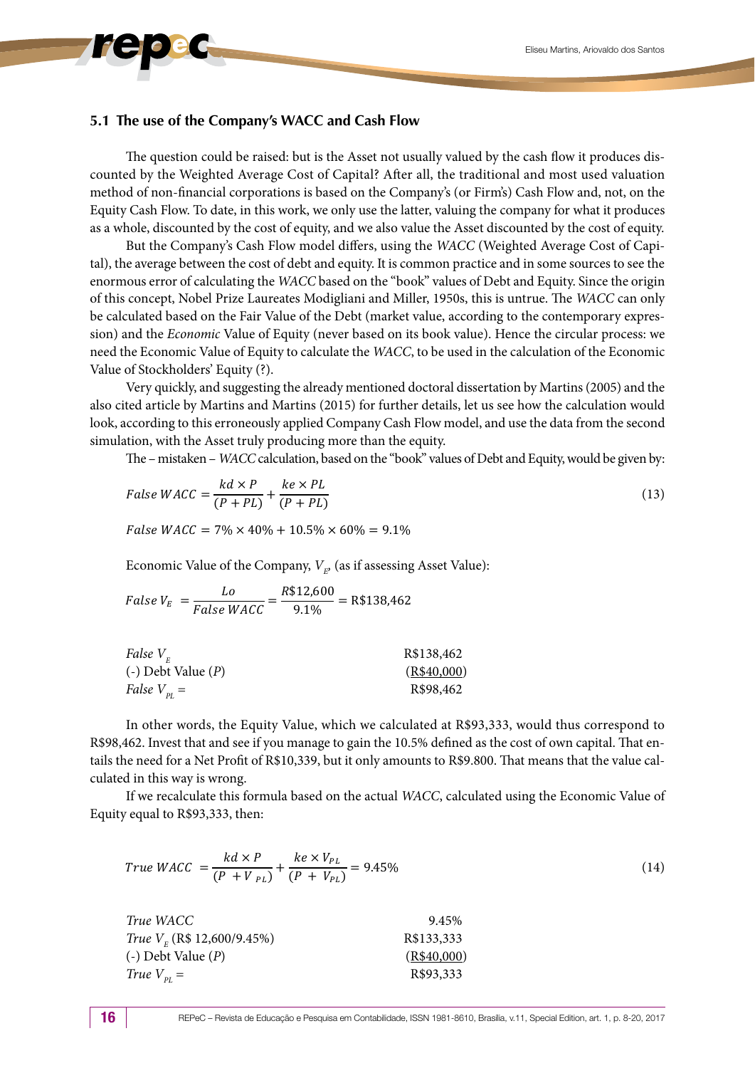#### **5.1 The use of the Company's WACC and Cash Flow**

The question could be raised: but is the Asset not usually valued by the cash flow it produces discounted by the Weighted Average Cost of Capital? After all, the traditional and most used valuation method of non-financial corporations is based on the Company's (or Firm's) Cash Flow and, not, on the Equity Cash Flow. To date, in this work, we only use the latter, valuing the company for what it produces as a whole, discounted by the cost of equity, and we also value the Asset discounted by the cost of equity.

But the Company's Cash Flow model differs, using the *WACC* (Weighted Average Cost of Capital), the average between the cost of debt and equity. It is common practice and in some sources to see the enormous error of calculating the *WACC* based on the "book" values of Debt and Equity. Since the origin of this concept, Nobel Prize Laureates Modigliani and Miller, 1950s, this is untrue. The *WACC* can only be calculated based on the Fair Value of the Debt (market value, according to the contemporary expression) and the *Economic* Value of Equity (never based on its book value). Hence the circular process: we need the Economic Value of Equity to calculate the *WACC*, to be used in the calculation of the Economic Value of Stockholders' Equity (?).

Very quickly, and suggesting the already mentioned doctoral dissertation by Martins (2005) and the also cited article by Martins and Martins (2015) for further details, let us see how the calculation would look, according to this erroneously applied Company Cash Flow model, and use the data from the second simulation, with the Asset truly producing more than the equity.

The – mistaken – *WACC* calculation, based on the "book" values of Debt and Equity, would be given by:

False WACC = 
$$
\frac{kd \times P}{(P + PL)} + \frac{ke \times PL}{(P + PL)}
$$
 (13)

False WACC =  $7\% \times 40\% + 10.5\% \times 60\% = 9.1\%$ 

Economic Value of the Company,  $V_{E'}$  (as if assessing Asset Value):

False 
$$
V_E = \frac{Lo}{False WACC} = \frac{R$12,600}{9.1\%} = R$138,462
$$

| R\$138,462  |
|-------------|
| (R\$40,000) |
| R\$98,462   |
|             |

In other words, the Equity Value, which we calculated at R\$93,333, would thus correspond to R\$98,462. Invest that and see if you manage to gain the 10.5% defined as the cost of own capital. That entails the need for a Net Profit of R\$10,339, but it only amounts to R\$9.800. That means that the value calculated in this way is wrong.

If we recalculate this formula based on the actual *WACC*, calculated using the Economic Value of Equity equal to R\$93,333, then:

$$
True WACC = \frac{kd \times P}{(P + V_{PL})} + \frac{ke \times V_{PL}}{(P + V_{PL})} = 9.45\% \tag{14}
$$

| True WACC                       | 9.45%       |
|---------------------------------|-------------|
| True $V_{F}$ (R\$ 12,600/9.45%) | R\$133,333  |
| $(-)$ Debt Value $(P)$          | (R\$40,000) |
| True $V_{\rm pr}$ =             | R\$93,333   |
|                                 |             |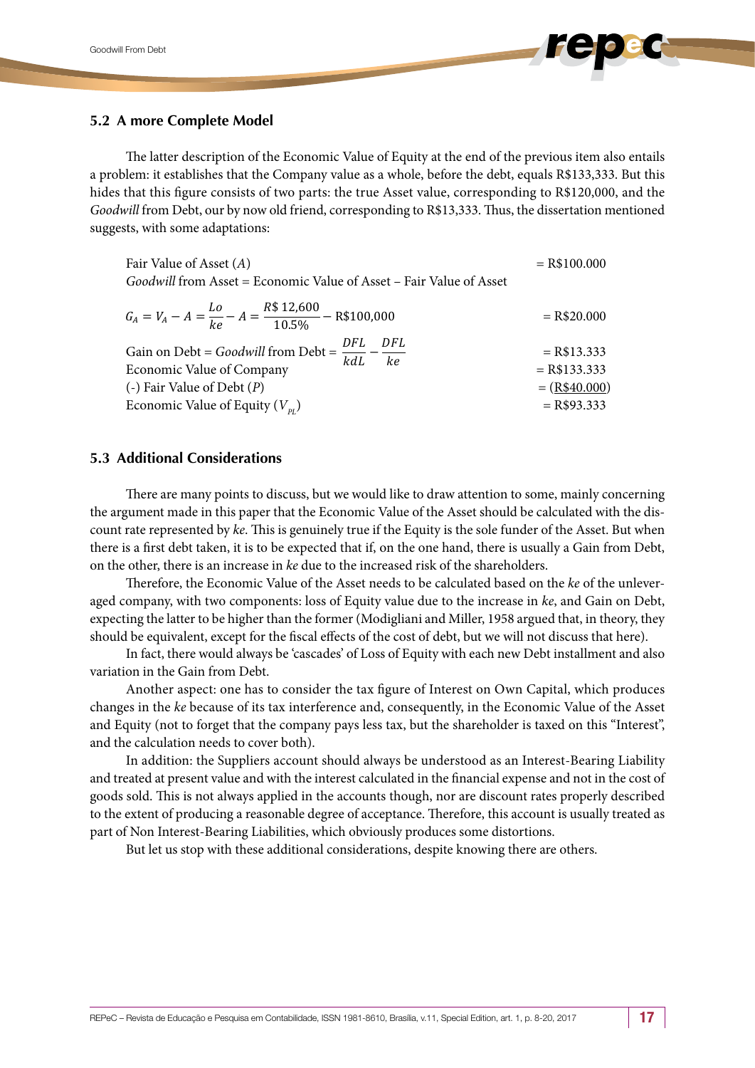#### **5.2 A more Complete Model**

The latter description of the Economic Value of Equity at the end of the previous item also entails a problem: it establishes that the Company value as a whole, before the debt, equals R\$133,333. But this hides that this figure consists of two parts: the true Asset value, corresponding to R\$120,000, and the *Goodwill* from Debt, our by now old friend, corresponding to R\$13,333. Thus, the dissertation mentioned suggests, with some adaptations:

| Fair Value of Asset $(A)$                                                                                                            | $=$ R\$100.000                                    |
|--------------------------------------------------------------------------------------------------------------------------------------|---------------------------------------------------|
| Goodwill from Asset = Economic Value of Asset – Fair Value of Asset                                                                  |                                                   |
| $G_A = V_A - A = \frac{Lo}{ke} - A = \frac{R$12,600}{10.5\%} - R$100,000$                                                            | $=$ R\$20.000                                     |
| Gain on Debt = Goodwill from Debt = $\frac{DFL}{k dL} - \frac{DFL}{ke}$<br>Economic Value of Company<br>(-) Fair Value of Debt $(P)$ | $=$ R\$13.333<br>$=$ R\$133.333<br>$= (R$40.000)$ |
| Economic Value of Equity $(V_{p_l})$                                                                                                 | $=$ R\$93.333                                     |
|                                                                                                                                      |                                                   |

#### **5.3 Additional Considerations**

There are many points to discuss, but we would like to draw attention to some, mainly concerning the argument made in this paper that the Economic Value of the Asset should be calculated with the discount rate represented by *ke*. This is genuinely true if the Equity is the sole funder of the Asset. But when there is a first debt taken, it is to be expected that if, on the one hand, there is usually a Gain from Debt, on the other, there is an increase in *ke* due to the increased risk of the shareholders.

Therefore, the Economic Value of the Asset needs to be calculated based on the *ke* of the unleveraged company, with two components: loss of Equity value due to the increase in *ke*, and Gain on Debt, expecting the latter to be higher than the former (Modigliani and Miller, 1958 argued that, in theory, they should be equivalent, except for the fiscal effects of the cost of debt, but we will not discuss that here).

In fact, there would always be 'cascades' of Loss of Equity with each new Debt installment and also variation in the Gain from Debt.

Another aspect: one has to consider the tax figure of Interest on Own Capital, which produces changes in the *ke* because of its tax interference and, consequently, in the Economic Value of the Asset and Equity (not to forget that the company pays less tax, but the shareholder is taxed on this "Interest", and the calculation needs to cover both).

In addition: the Suppliers account should always be understood as an Interest-Bearing Liability and treated at present value and with the interest calculated in the financial expense and not in the cost of goods sold. This is not always applied in the accounts though, nor are discount rates properly described to the extent of producing a reasonable degree of acceptance. Therefore, this account is usually treated as part of Non Interest-Bearing Liabilities, which obviously produces some distortions.

But let us stop with these additional considerations, despite knowing there are others.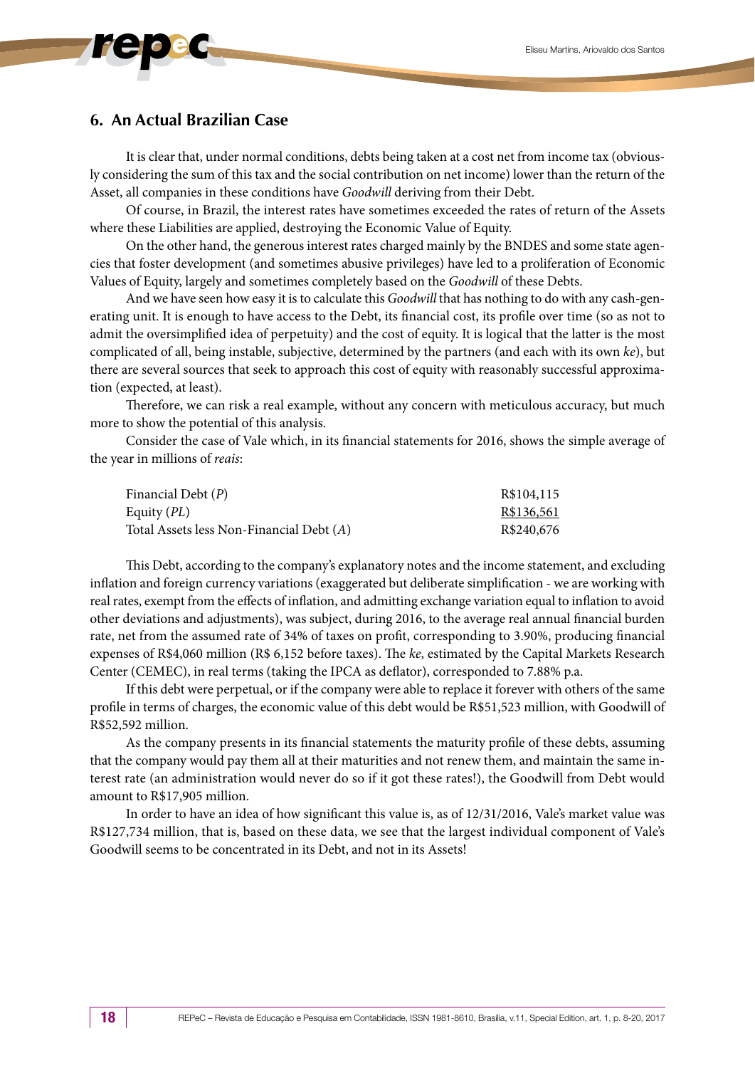## **6. An Actual Brazilian Case**

It is clear that, under normal conditions, debts being taken at a cost net from income tax (obviously considering the sum of this tax and the social contribution on net income) lower than the return of the Asset, all companies in these conditions have *Goodwill* deriving from their Debt.

Of course, in Brazil, the interest rates have sometimes exceeded the rates of return of the Assets where these Liabilities are applied, destroying the Economic Value of Equity.

On the other hand, the generous interest rates charged mainly by the BNDES and some state agencies that foster development (and sometimes abusive privileges) have led to a proliferation of Economic Values of Equity, largely and sometimes completely based on the *Goodwill* of these Debts.

And we have seen how easy it is to calculate this *Goodwill* that has nothing to do with any cash-generating unit. It is enough to have access to the Debt, its financial cost, its profile over time (so as not to admit the oversimplified idea of perpetuity) and the cost of equity. It is logical that the latter is the most complicated of all, being instable, subjective, determined by the partners (and each with its own *ke*), but there are several sources that seek to approach this cost of equity with reasonably successful approximation (expected, at least).

Therefore, we can risk a real example, without any concern with meticulous accuracy, but much more to show the potential of this analysis.

Consider the case of Vale which, in its financial statements for 2016, shows the simple average of the year in millions of *reais*:

| Financial Debt (P)                       | R\$104,115 |
|------------------------------------------|------------|
| Equity ( <i>PL</i> )                     | R\$136,561 |
| Total Assets less Non-Financial Debt (A) | R\$240,676 |

This Debt, according to the company's explanatory notes and the income statement, and excluding inflation and foreign currency variations (exaggerated but deliberate simplification - we are working with real rates, exempt from the effects of inflation, and admitting exchange variation equal to inflation to avoid other deviations and adjustments), was subject, during 2016, to the average real annual financial burden rate, net from the assumed rate of 34% of taxes on profit, corresponding to 3.90%, producing financial expenses of R\$4,060 million (R\$ 6,152 before taxes). The *ke*, estimated by the Capital Markets Research Center (CEMEC), in real terms (taking the IPCA as deflator), corresponded to 7.88% p.a.

If this debt were perpetual, or if the company were able to replace it forever with others of the same profile in terms of charges, the economic value of this debt would be R\$51,523 million, with Goodwill of R\$52,592 million.

As the company presents in its financial statements the maturity profile of these debts, assuming that the company would pay them all at their maturities and not renew them, and maintain the same interest rate (an administration would never do so if it got these rates!), the Goodwill from Debt would amount to R\$17,905 million.

In order to have an idea of how significant this value is, as of 12/31/2016, Vale's market value was R\$127,734 million, that is, based on these data, we see that the largest individual component of Vale's Goodwill seems to be concentrated in its Debt, and not in its Assets!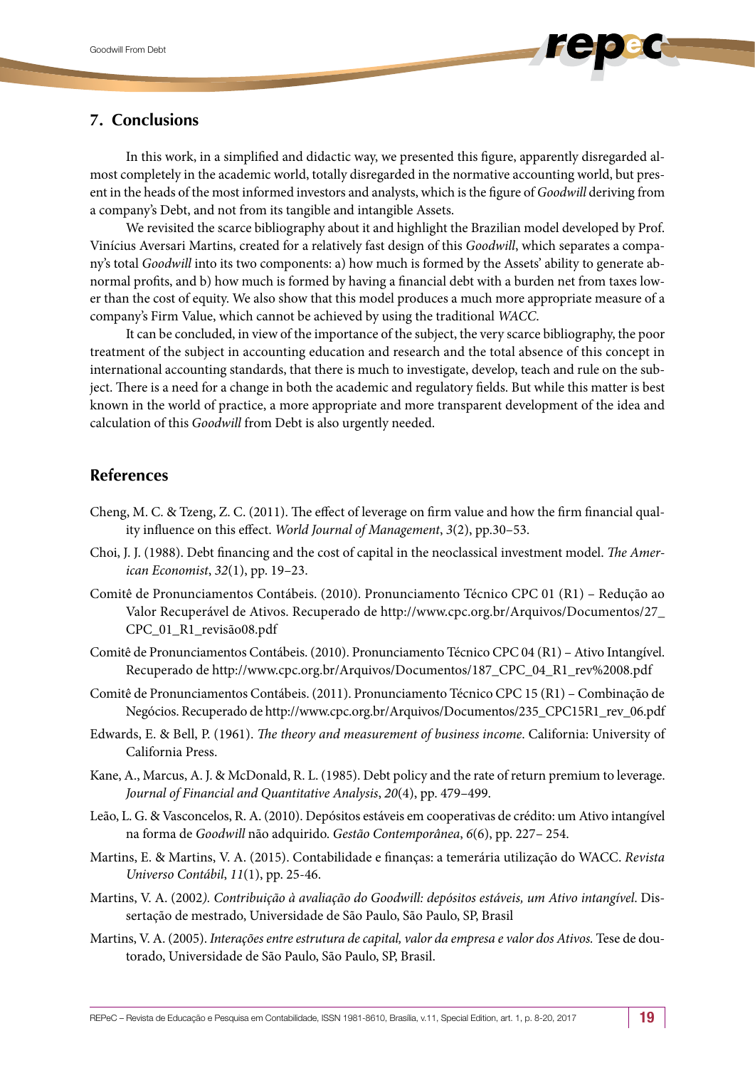# **7. Conclusions**

In this work, in a simplified and didactic way, we presented this figure, apparently disregarded almost completely in the academic world, totally disregarded in the normative accounting world, but present in the heads of the most informed investors and analysts, which is the figure of *Goodwill* deriving from a company's Debt, and not from its tangible and intangible Assets.

We revisited the scarce bibliography about it and highlight the Brazilian model developed by Prof. Vinícius Aversari Martins, created for a relatively fast design of this *Goodwill*, which separates a company's total *Goodwill* into its two components: a) how much is formed by the Assets' ability to generate abnormal profits, and b) how much is formed by having a financial debt with a burden net from taxes lower than the cost of equity. We also show that this model produces a much more appropriate measure of a company's Firm Value, which cannot be achieved by using the traditional *WACC*.

It can be concluded, in view of the importance of the subject, the very scarce bibliography, the poor treatment of the subject in accounting education and research and the total absence of this concept in international accounting standards, that there is much to investigate, develop, teach and rule on the subject. There is a need for a change in both the academic and regulatory fields. But while this matter is best known in the world of practice, a more appropriate and more transparent development of the idea and calculation of this *Goodwill* from Debt is also urgently needed.

#### **References**

- Cheng, M. C. & Tzeng, Z. C. (2011). The effect of leverage on firm value and how the firm financial quality influence on this effect. *World Journal of Management*, *3*(2), pp.30–53.
- Choi, J. J. (1988). Debt financing and the cost of capital in the neoclassical investment model. *The American Economist*, *32*(1), pp. 19–23.
- Comitê de Pronunciamentos Contábeis. (2010). Pronunciamento Técnico CPC 01 (R1) Redução ao Valor Recuperável de Ativos. Recuperado de [http://www.cpc.org.br/Arquivos/Documentos/27\\_](http://www.cpc.org.br/Arquivos/Documentos/27_CPC_01_R1_revisão08.pdf) [CPC\\_01\\_R1\\_revisão08.pdf](http://www.cpc.org.br/Arquivos/Documentos/27_CPC_01_R1_revisão08.pdf)
- Comitê de Pronunciamentos Contábeis. (2010). Pronunciamento Técnico CPC 04 (R1) Ativo Intangível. Recuperado de http://www.cpc.org.br/Arquivos/Documentos/187\_CPC\_04\_R1\_rev%2008.pdf
- Comitê de Pronunciamentos Contábeis. (2011). Pronunciamento Técnico CPC 15 (R1) Combinação de Negócios. Recuperado de [http://www.cpc.org.br/Arquivos/Documentos/235\\_CPC15R1\\_rev\\_06.pdf](http://www.cpc.org.br/Arquivos/Documentos/235_CPC15R1_rev_06.pdf)
- Edwards, E. & Bell, P. (1961). *The theory and measurement of business income*. California: University of California Press.
- Kane, A., Marcus, A. J. & McDonald, R. L. (1985). Debt policy and the rate of return premium to leverage. *Journal of Financial and Quantitative Analysis*, *20*(4), pp. 479–499.
- Leão, L. G. & Vasconcelos, R. A. (2010). Depósitos estáveis em cooperativas de crédito: um Ativo intangível na forma de *Goodwill* não adquirido. *Gestão Contemporânea*, *6*(6), pp. 227– 254.
- Martins, E. & Martins, V. A. (2015). Contabilidade e finanças: a temerária utilização do WACC. *Revista Universo Contábil*, *11*(1), pp. 25-46.
- Martins, V. A. (2002*). Contribuição à avaliação do Goodwill: depósitos estáveis, um Ativo intangível*. Dissertação de mestrado, Universidade de São Paulo, São Paulo, SP, Brasil
- Martins, V. A. (2005). *Interações entre estrutura de capital, valor da empresa e valor dos Ativos.* Tese de doutorado, Universidade de São Paulo, São Paulo, SP, Brasil.